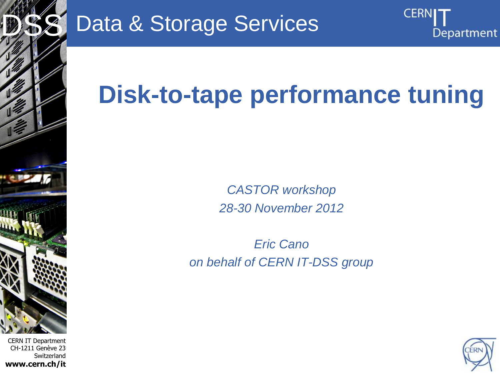

CERN IT Department CH-1211 Genève 23 Switzerland **www.cern.ch/it**

## Data & Storage Services

# **Disk-to-tape performance tuning**

*CASTOR workshop 28-30 November 2012*

*Eric Cano on behalf of CERN IT-DSS group*



**CERN** 

Department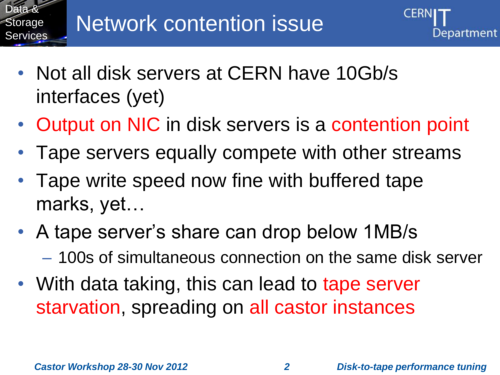

- Not all disk servers at CERN have 10Gb/s interfaces (yet)
- Output on NIC in disk servers is a contention point
- Tape servers equally compete with other streams
- Tape write speed now fine with buffered tape marks, yet…
- A tape server's share can drop below 1MB/s – 100s of simultaneous connection on the same disk server
- With data taking, this can lead to tape server starvation, spreading on all castor instances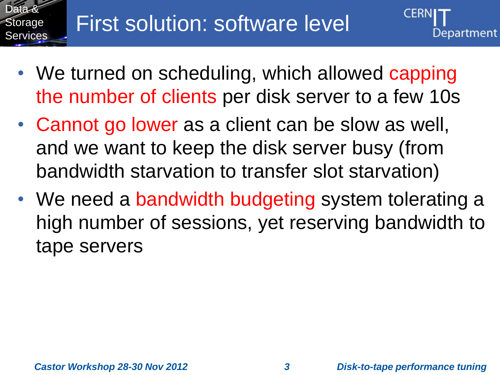

- We turned on scheduling, which allowed capping the number of clients per disk server to a few 10s
- Cannot go lower as a client can be slow as well, and we want to keep the disk server busy (from bandwidth starvation to transfer slot starvation)
- We need a bandwidth budgeting system tolerating a high number of sessions, yet reserving bandwidth to tape servers

Department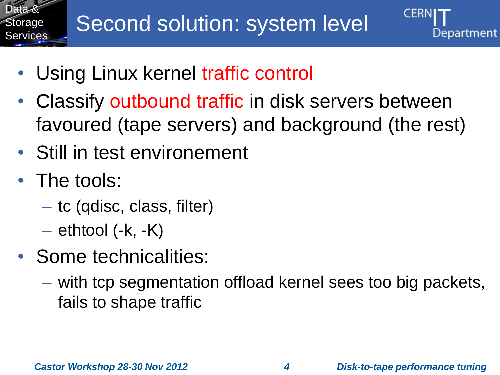



- Using Linux kernel traffic control
- Classify outbound traffic in disk servers between favoured (tape servers) and background (the rest)
- Still in test environement
- The tools:
	- tc (qdisc, class, filter)
	- $-$  ethtool (-k, -K)
- Some technicalities:
	- with tcp segmentation offload kernel sees too big packets, fails to shape traffic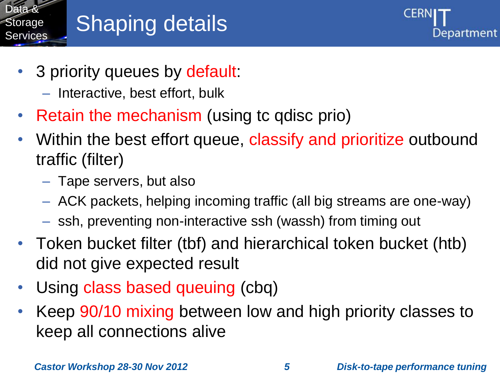

### Shaping details



- 3 priority queues by default:
	- Interactive, best effort, bulk
- Retain the mechanism (using tc qdisc prio)
- Within the best effort queue, classify and prioritize outbound traffic (filter)
	- Tape servers, but also
	- ACK packets, helping incoming traffic (all big streams are one-way)
	- ssh, preventing non-interactive ssh (wassh) from timing out
- Token bucket filter (tbf) and hierarchical token bucket (htb) did not give expected result
- Using class based queuing (cbq)
- Keep 90/10 mixing between low and high priority classes to keep all connections alive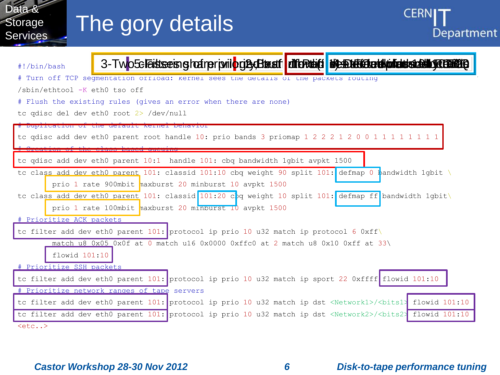

 $<sub>etc.</sub>$ </sub>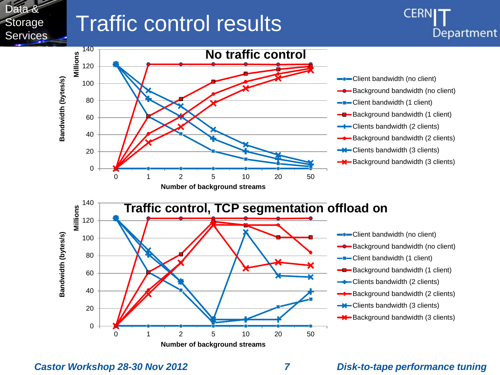

### Traffic control results





**Number of background streams**

- **-**Client bandwidth (no client)
- **-0-Background bandwidth (no client)**

**CER** 

Department

- **-D**-Client bandwidth (1 client)
- **-Background bandwidth (1 client)**
- **-D**-Clients bandwidth (2 clients)
- Background bandwidth (2 clients)
- **-\***Clients bandwidth (3 clients)
- **Background bandwidth (3 clients)**

*Castor Workshop 28-30 Nov 2012 7 Disk-to-tape performance tuning*

0

20

40

60

**Bandwidth (bytes/s)**

Bandwidth (bytes/s)

80

100

120

**Millions**

140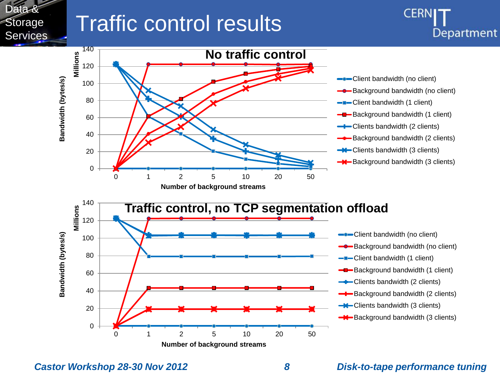

### Traffic control results



140 **Traffic control, no TCP segmentation offload Millions** 120 Client bandwidth (no client) Bandwidth (bytes/s) **Bandwidth (bytes/s)** 100 **-8** Background bandwidth (no client) 80 -D-Client bandwidth (1 client) Background bandwidth (1 client) 60 **-Clients bandwidth (2 clients)** 40 Background bandwidth (2 clients) **-\***Clients bandwidth (3 clients) 20 **Background bandwidth (3 clients)** 0 0 1 2 5 10 20 50 **Number of background streams**

**Number of background streams**

*Castor Workshop 28-30 Nov 2012 8 Disk-to-tape performance tuning*

0

20

40

60

**Bandwidth (bytes/s)**

Bandwidth (bytes/s)

80

100

120

**Millions**

140

**CER**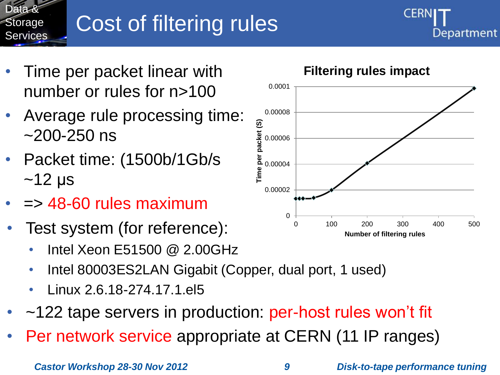

## Cost of filtering rules



- Time per packet linear with number or rules for n>100
- Average rule processing time: ~200-250 ns
- Packet time: (1500b/1Gb/s  $~12 \mu s$
- $\Rightarrow$  48-60 rules maximum
- Test system (for reference):
	- Intel Xeon E51500 @ 2.00GHz
	- Intel 80003ES2LAN Gigabit (Copper, dual port, 1 used)
	- Linux 2.6.18-274.17.1.el5
- ~122 tape servers in production: per-host rules won't fit
- Per network service appropriate at CERN (11 IP ranges)